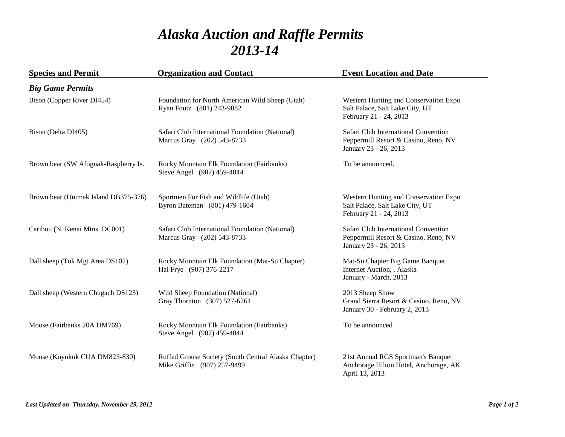## *Alaska Auction and Raffle Permits 2013-14*

| <b>Species and Permit</b>            | <b>Organization and Contact</b>                                                     | <b>Event Location and Date</b>                                                                        |
|--------------------------------------|-------------------------------------------------------------------------------------|-------------------------------------------------------------------------------------------------------|
| <b>Big Game Permits</b>              |                                                                                     |                                                                                                       |
| Bison (Copper River DI454)           | Foundation for North American Wild Sheep (Utah)<br>Ryan Foutz (801) 243-9882        | Western Hunting and Conservation Expo<br>Salt Palace, Salt Lake City, UT<br>February 21 - 24, 2013    |
| Bison (Delta DI405)                  | Safari Club International Foundation (National)<br>Marcus Gray (202) 543-8733       | Safari Club International Convention<br>Peppermill Resort & Casino, Reno, NV<br>January 23 - 26, 2013 |
| Brown bear (SW Afognak-Raspberry Is. | Rocky Mountain Elk Foundation (Fairbanks)<br>Steve Angel (907) 459-4044             | To be announced.                                                                                      |
| Brown bear (Unimak Island DB375-376) | Sportmen For Fish and Wildlife (Utah)<br>Byron Bateman (801) 479-1604               | Western Hunting and Conservation Expo<br>Salt Palace, Salt Lake City, UT<br>February 21 - 24, 2013    |
| Caribou (N. Kenai Mtns. DC001)       | Safari Club International Foundation (National)<br>Marcus Gray (202) 543-8733       | Safari Club International Convention<br>Peppermill Resort & Casino, Reno, NV<br>January 23 - 26, 2013 |
| Dall sheep (Tok Mgt Area DS102)      | Rocky Mountain Elk Foundation (Mat-Su Chapter)<br>Hal Frye (907) 376-2217           | Mat-Su Chapter Big Game Banquet<br>Internet Auction, , Alaska<br>January - March, 2013                |
| Dall sheep (Western Chugach DS123)   | Wild Sheep Foundation (National)<br>Gray Thornton (307) 527-6261                    | 2013 Sheep Show<br>Grand Sierra Resort & Casino, Reno, NV<br>January 30 - February 2, 2013            |
| Moose (Fairbanks 20A DM769)          | Rocky Mountain Elk Foundation (Fairbanks)<br>Steve Angel (907) 459-4044             | To be announced                                                                                       |
| Moose (Koyukuk CUA DM823-830)        | Ruffed Grouse Society (South Central Alaska Chapter)<br>Mike Griffin (907) 257-9499 | 21st Annual RGS Sportman's Banquet<br>Anchorage Hilton Hotel, Anchorage, AK<br>April 13, 2013         |